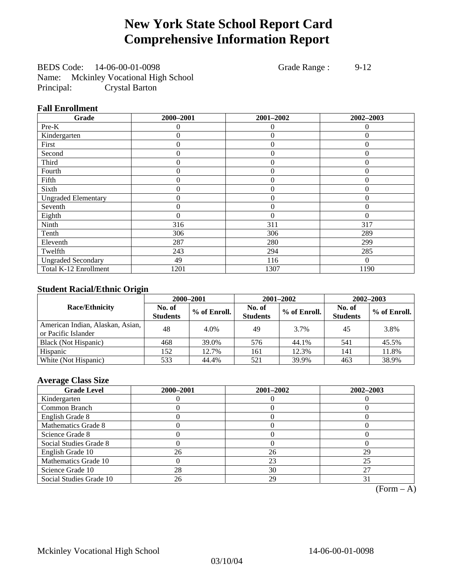# **New York State School Report Card Comprehensive Information Report**

BEDS Code: 14-06-00-01-0098 Grade Range : 9-12 Name: Mckinley Vocational High School Principal: Crystal Barton

## **Fall Enrollment**

| Grade                      | 2000-2001 | 2001-2002      | 2002-2003      |
|----------------------------|-----------|----------------|----------------|
| Pre-K                      | $\Omega$  | 0              | $\theta$       |
| Kindergarten               | 0         | $\theta$       | $\Omega$       |
| First                      | $\theta$  | $\theta$       | $\Omega$       |
| Second                     | 0         | $\theta$       | $\Omega$       |
| Third                      | 0         | $\overline{0}$ | $\Omega$       |
| Fourth                     | 0         | $\theta$       | $\theta$       |
| Fifth                      | 0         | $\Omega$       | $\theta$       |
| Sixth                      | 0         | $\theta$       | $\theta$       |
| <b>Ungraded Elementary</b> | 0         | $\overline{0}$ | $\overline{0}$ |
| Seventh                    | 0         | $\theta$       | $\theta$       |
| Eighth                     | $\theta$  | $\theta$       | $\theta$       |
| Ninth                      | 316       | 311            | 317            |
| Tenth                      | 306       | 306            | 289            |
| Eleventh                   | 287       | 280            | 299            |
| Twelfth                    | 243       | 294            | 285            |
| <b>Ungraded Secondary</b>  | 49        | 116            | $\Omega$       |
| Total K-12 Enrollment      | 1201      | 1307           | 1190           |

## **Student Racial/Ethnic Origin**

|                                                         |                           | 2000-2001<br>2001-2002<br>$2002 - 2003$ |                           |              |                           |                |
|---------------------------------------------------------|---------------------------|-----------------------------------------|---------------------------|--------------|---------------------------|----------------|
| <b>Race/Ethnicity</b>                                   | No. of<br><b>Students</b> | % of Enroll.                            | No. of<br><b>Students</b> | % of Enroll. | No. of<br><b>Students</b> | $%$ of Enroll. |
| American Indian, Alaskan, Asian,<br>or Pacific Islander | 48                        | 4.0%                                    | 49                        | 3.7%         | 45                        | 3.8%           |
| Black (Not Hispanic)                                    | 468                       | 39.0%                                   | 576                       | 44.1%        | 541                       | 45.5%          |
| Hispanic                                                | 152                       | 12.7%                                   | 161                       | 12.3%        | 141                       | 11.8%          |
| White (Not Hispanic)                                    | 533                       | 44.4%                                   | 521                       | 39.9%        | 463                       | 38.9%          |

## **Average Class Size**

| <b>Grade Level</b>      | 2000-2001 | 2001-2002 | 2002-2003 |
|-------------------------|-----------|-----------|-----------|
| Kindergarten            |           |           |           |
| Common Branch           |           |           |           |
| English Grade 8         |           |           |           |
| Mathematics Grade 8     |           |           |           |
| Science Grade 8         |           |           |           |
| Social Studies Grade 8  |           |           |           |
| English Grade 10        | 26        | 26        | 29        |
| Mathematics Grade 10    |           | 23        | 25        |
| Science Grade 10        | 28        | 30        | 27        |
| Social Studies Grade 10 | 26        | 29        |           |

 $(Form - A)$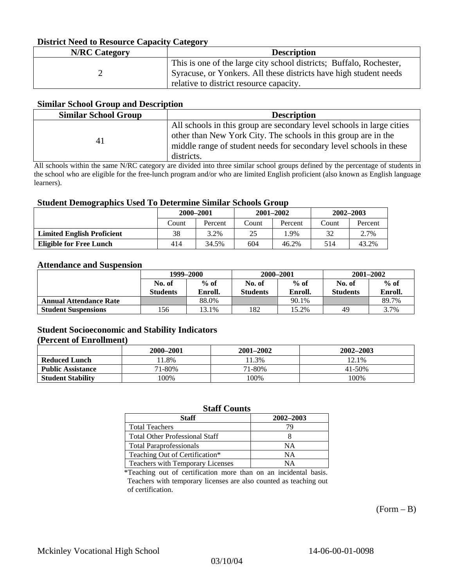## **District Need to Resource Capacity Category**

| <b>N/RC Category</b> | <b>Description</b>                                                                                           |
|----------------------|--------------------------------------------------------------------------------------------------------------|
|                      | This is one of the large city school districts; Buffalo, Rochester,                                          |
|                      | Syracuse, or Yonkers. All these districts have high student needs<br>relative to district resource capacity. |

### **Similar School Group and Description**

| <b>Similar School Group</b> | <b>Description</b>                                                                                                                                                                                                          |
|-----------------------------|-----------------------------------------------------------------------------------------------------------------------------------------------------------------------------------------------------------------------------|
| 41                          | All schools in this group are secondary level schools in large cities<br>other than New York City. The schools in this group are in the<br>middle range of student needs for secondary level schools in these<br>districts. |

All schools within the same N/RC category are divided into three similar school groups defined by the percentage of students in the school who are eligible for the free-lunch program and/or who are limited English proficient (also known as English language learners).

#### **Student Demographics Used To Determine Similar Schools Group**

| -                                 | 2000-2001 |         | $2001 - 2002$ |         | $2002 - 2003$ |         |
|-----------------------------------|-----------|---------|---------------|---------|---------------|---------|
|                                   | Count     | Percent | Count         | Percent | Count         | Percent |
| <b>Limited English Proficient</b> | 38        | 3.2%    | 25            | .9%     | 30            | 2.7%    |
| <b>Eligible for Free Lunch</b>    | 414       | 34.5%   | 604           | 46.2%   | 514           | 43.2%   |

#### **Attendance and Suspension**

|                               | 1999-2000       |         | 2000-2001       |         | $2001 - 2002$   |         |
|-------------------------------|-----------------|---------|-----------------|---------|-----------------|---------|
|                               | No. of          | $%$ of  | No. of          | $%$ of  | No. of          | $%$ of  |
|                               | <b>Students</b> | Enroll. | <b>Students</b> | Enroll. | <b>Students</b> | Enroll. |
| <b>Annual Attendance Rate</b> |                 | 88.0%   |                 | 90.1%   |                 | 89.7%   |
| <b>Student Suspensions</b>    | 156             | 3.1%    | 182             | 15.2%   | 49              | 3.7%    |

## **Student Socioeconomic and Stability Indicators**

### **(Percent of Enrollment)**

|                          | 2000–2001 | 2001-2002 | 2002-2003 |
|--------------------------|-----------|-----------|-----------|
| <b>Reduced Lunch</b>     | 1.8%      | 1.3%      | 12.1%     |
| <b>Public Assistance</b> | 71-80%    | 71-80%    | 41-50%    |
| <b>Student Stability</b> | $00\%$    | 100%      | 100%      |

## **Staff Counts**

| <b>Staff</b>                          | 2002-2003 |
|---------------------------------------|-----------|
| <b>Total Teachers</b>                 | 79        |
| <b>Total Other Professional Staff</b> |           |
| <b>Total Paraprofessionals</b>        | NΑ        |
| Teaching Out of Certification*        | NΑ        |
| Teachers with Temporary Licenses      | NА        |

\*Teaching out of certification more than on an incidental basis. Teachers with temporary licenses are also counted as teaching out of certification.

 $(Form - B)$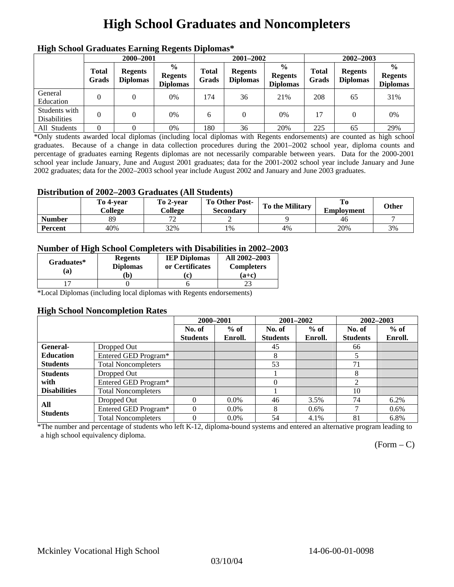# **High School Graduates and Noncompleters**

| ніді эспол этайнакі патінід кеденія вірюшая |                       |                                   |                                                    |                       |                                   |                                                    |                       |                                   |                                                    |  |
|---------------------------------------------|-----------------------|-----------------------------------|----------------------------------------------------|-----------------------|-----------------------------------|----------------------------------------------------|-----------------------|-----------------------------------|----------------------------------------------------|--|
|                                             | 2000-2001             |                                   |                                                    |                       | 2001-2002                         |                                                    |                       | 2002-2003                         |                                                    |  |
|                                             | <b>Total</b><br>Grads | <b>Regents</b><br><b>Diplomas</b> | $\frac{0}{0}$<br><b>Regents</b><br><b>Diplomas</b> | <b>Total</b><br>Grads | <b>Regents</b><br><b>Diplomas</b> | $\frac{6}{6}$<br><b>Regents</b><br><b>Diplomas</b> | <b>Total</b><br>Grads | <b>Regents</b><br><b>Diplomas</b> | $\frac{0}{0}$<br><b>Regents</b><br><b>Diplomas</b> |  |
| General<br>Education                        |                       |                                   | 0%                                                 | 174                   | 36                                | 21%                                                | 208                   | 65                                | 31%                                                |  |
| Students with<br><b>Disabilities</b>        |                       |                                   | 0%                                                 | 6                     | $\Omega$                          | 0%                                                 | 17                    |                                   | 0%                                                 |  |
| All Students                                |                       |                                   | 0%                                                 | 180                   | 36                                | 20%                                                | 225                   | 65                                | 29%                                                |  |

## **High School Graduates Earning Regents Diplomas\***

\*Only students awarded local diplomas (including local diplomas with Regents endorsements) are counted as high school graduates. Because of a change in data collection procedures during the 2001–2002 school year, diploma counts and percentage of graduates earning Regents diplomas are not necessarily comparable between years. Data for the 2000-2001 school year include January, June and August 2001 graduates; data for the 2001-2002 school year include January and June 2002 graduates; data for the 2002–2003 school year include August 2002 and January and June 2003 graduates.

## **Distribution of 2002–2003 Graduates (All Students)**

|               | To 4-vear<br>College | To 2-vear<br>College     | <b>To Other Post-</b><br>Secondary | To the Military | To<br><b>Employment</b> | <b>Other</b> |
|---------------|----------------------|--------------------------|------------------------------------|-----------------|-------------------------|--------------|
| <b>Number</b> | 89                   | $\overline{\phantom{a}}$ |                                    |                 | 46                      |              |
| Percent       | 40%                  | 32%                      | 1%                                 | 4%              | 20%                     | 3%           |

## **Number of High School Completers with Disabilities in 2002–2003**

| Graduates*<br>(a) | <b>Regents</b><br><b>Diplomas</b><br>b) | <b>IEP Diplomas</b><br>or Certificates<br>'c) | All 2002-2003<br><b>Completers</b><br>(a+c) |
|-------------------|-----------------------------------------|-----------------------------------------------|---------------------------------------------|
|                   |                                         |                                               |                                             |

\*Local Diplomas (including local diplomas with Regents endorsements)

#### **High School Noncompletion Rates**

|                     |                            | 2000-2001       |         | 2001-2002       |         | 2002-2003       |         |
|---------------------|----------------------------|-----------------|---------|-----------------|---------|-----------------|---------|
|                     |                            | No. of          | $%$ of  | No. of          | $%$ of  | No. of          | $%$ of  |
|                     |                            | <b>Students</b> | Enroll. | <b>Students</b> | Enroll. | <b>Students</b> | Enroll. |
| <b>General-</b>     | Dropped Out                |                 |         | 45              |         | 66              |         |
| <b>Education</b>    | Entered GED Program*       |                 |         | 8               |         | 5               |         |
| <b>Students</b>     | <b>Total Noncompleters</b> |                 |         | 53              |         | 71              |         |
| <b>Students</b>     | Dropped Out                |                 |         |                 |         | 8               |         |
| with                | Entered GED Program*       |                 |         | $\Omega$        |         | $\overline{2}$  |         |
| <b>Disabilities</b> | <b>Total Noncompleters</b> |                 |         |                 |         | 10              |         |
| All                 | Dropped Out                | 0               | $0.0\%$ | 46              | 3.5%    | 74              | 6.2%    |
| <b>Students</b>     | Entered GED Program*       | $\Omega$        | $0.0\%$ | 8               | $0.6\%$ |                 | $0.6\%$ |
|                     | <b>Total Noncompleters</b> | $\Omega$        | $0.0\%$ | 54              | 4.1%    | 81              | 6.8%    |

\*The number and percentage of students who left K-12, diploma-bound systems and entered an alternative program leading to a high school equivalency diploma.

 $(Form - C)$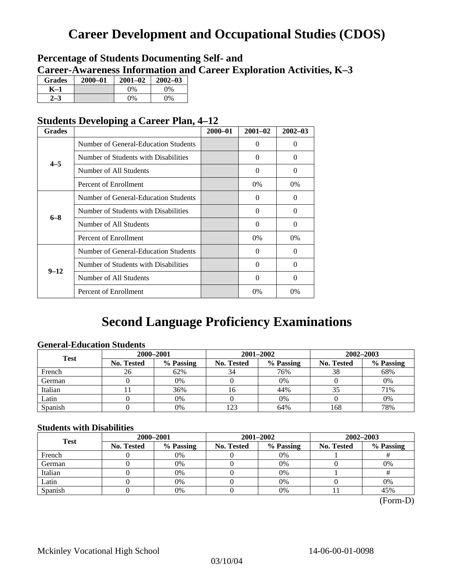# **Career Development and Occupational Studies (CDOS)**

## **Percentage of Students Documenting Self- and Career-Awareness Information and Career Exploration Activities, K–3**

| <b>Grades</b> | 2000-01 | $2001 - 02$ | $2002 - 03$ |
|---------------|---------|-------------|-------------|
| K–1           |         | $0\%$       | $0\%$       |
|               |         | $0\%$       | $0\%$       |

## **Students Developing a Career Plan, 4–12**

| <b>Grades</b> |                                                                                                                                                                                 | $2000 - 01$ | $2001 - 02$ | $2002 - 03$ |
|---------------|---------------------------------------------------------------------------------------------------------------------------------------------------------------------------------|-------------|-------------|-------------|
|               | Number of General-Education Students                                                                                                                                            |             | 0           | $\Omega$    |
| $4 - 5$       | Number of Students with Disabilities                                                                                                                                            |             | 0           | $\Omega$    |
|               | Number of All Students                                                                                                                                                          |             | 0           | $\Omega$    |
|               | Percent of Enrollment                                                                                                                                                           |             | $0\%$       | $0\%$       |
|               | Number of General-Education Students                                                                                                                                            |             | 0           | 0           |
|               | Number of Students with Disabilities                                                                                                                                            |             | $\Omega$    | $\Omega$    |
|               | Number of All Students                                                                                                                                                          |             | $\theta$    | $\Omega$    |
|               | $6 - 8$<br>Percent of Enrollment<br>Number of General-Education Students<br>Number of Students with Disabilities<br>$9 - 12$<br>Number of All Students<br>Percent of Enrollment |             | $0\%$       | $0\%$       |
|               |                                                                                                                                                                                 |             | 0           | $\Omega$    |
|               |                                                                                                                                                                                 |             | 0           | $\Omega$    |
|               |                                                                                                                                                                                 |             | $\Omega$    | $\Omega$    |
|               |                                                                                                                                                                                 |             | $0\%$       | 0%          |

# **Second Language Proficiency Examinations**

## **General-Education Students**

| <b>Test</b> |                   | 2000-2001 |                   | 2001-2002                                                      | 2002-2003 |     |  |
|-------------|-------------------|-----------|-------------------|----------------------------------------------------------------|-----------|-----|--|
|             | <b>No. Tested</b> | % Passing | <b>No. Tested</b> | % Passing<br><b>No. Tested</b><br>76%<br>34<br>38<br>0%<br>44% | % Passing |     |  |
| French      | 26                | 62%       |                   |                                                                |           | 68% |  |
| German      |                   | 0%        |                   |                                                                |           | 0%  |  |
| Italian     |                   | 36%       |                   |                                                                |           | 71% |  |
| Latin       |                   | 0%        |                   | 0%                                                             |           | 0%  |  |
| Spanish     |                   | $0\%$     | 123               | 64%                                                            | 168       | 78% |  |

## **Students with Disabilities**

| <b>Test</b> | 2000-2001         |           |                                                                                     |           | 2002-2003 |     |  |
|-------------|-------------------|-----------|-------------------------------------------------------------------------------------|-----------|-----------|-----|--|
|             | <b>No. Tested</b> | % Passing | 2001-2002<br>% Passing<br>No. Tested<br>No. Tested<br>$0\%$<br>$0\%$<br>0%<br>$0\%$ | % Passing |           |     |  |
| French      |                   | 0%        |                                                                                     |           |           |     |  |
| German      |                   | 0%        |                                                                                     |           |           | 0%  |  |
| Italian     |                   | 0%        |                                                                                     |           |           |     |  |
| Latin       |                   | 0%        |                                                                                     |           |           | 0%  |  |
| Spanish     |                   | 0%        |                                                                                     | 0%        |           | 45% |  |

(Form-D)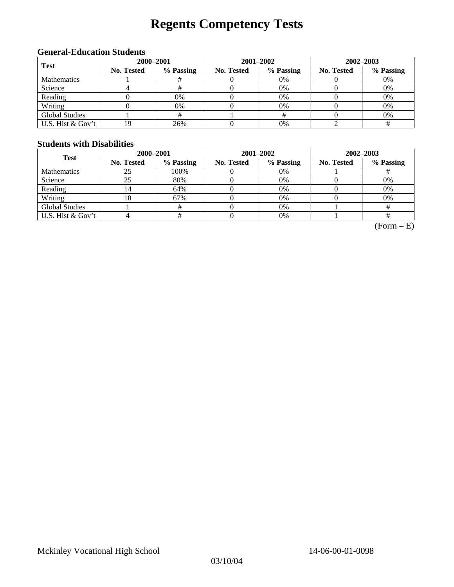# **Regents Competency Tests**

## **General-Education Students**

| <b>Test</b>           | 2000-2001  |           |                                                                     | 2001-2002 | $2002 - 2003$ |    |  |
|-----------------------|------------|-----------|---------------------------------------------------------------------|-----------|---------------|----|--|
|                       | No. Tested | % Passing | No. Tested<br>% Passing<br>No. Tested<br>$0\%$<br>0%<br>$0\%$<br>0% | % Passing |               |    |  |
| <b>Mathematics</b>    |            |           |                                                                     |           |               | 0% |  |
| Science               |            |           |                                                                     |           |               | 0% |  |
| Reading               |            | 0%        |                                                                     |           |               | 0% |  |
| Writing               |            | 0%        |                                                                     |           |               | 0% |  |
| <b>Global Studies</b> |            |           |                                                                     |           |               | 0% |  |
| U.S. Hist & Gov't     | 19         | 26%       |                                                                     | $0\%$     |               |    |  |

## **Students with Disabilities**

| <b>Test</b>           | 2000-2001         |           |            | 2001-2002 | 2002-2003  |           |  |
|-----------------------|-------------------|-----------|------------|-----------|------------|-----------|--|
|                       | <b>No. Tested</b> | % Passing | No. Tested | % Passing | No. Tested | % Passing |  |
| <b>Mathematics</b>    | 25                | 100%      |            | 0%        |            |           |  |
| Science               | 25                | 80%       |            | 0%        |            | 0%        |  |
| Reading               | 14                | 64%       |            | 0%        |            | 0%        |  |
| Writing               | 18                | 67%       |            | $0\%$     |            | 0%        |  |
| <b>Global Studies</b> |                   | #         |            | $0\%$     |            |           |  |
| U.S. Hist & Gov't     |                   | #         |            | 0%        |            |           |  |

 $(Form - E)$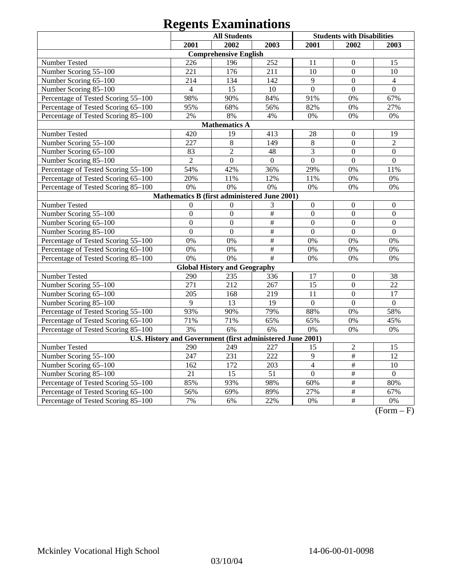# **Regents Examinations**

|                                                            | <b>All Students</b><br><b>Students with Disabilities</b> |                                     |                           |                  |                           |                  |  |  |
|------------------------------------------------------------|----------------------------------------------------------|-------------------------------------|---------------------------|------------------|---------------------------|------------------|--|--|
|                                                            | 2001                                                     | 2002                                | 2003                      | 2001             | 2002                      | 2003             |  |  |
|                                                            |                                                          | <b>Comprehensive English</b>        |                           |                  |                           |                  |  |  |
| Number Tested                                              | 226                                                      | 196                                 | 252                       | 11               | $\mathbf{0}$              | 15               |  |  |
| Number Scoring 55-100                                      | 221                                                      | 176                                 | 211                       | 10               | $\overline{0}$            | 10               |  |  |
| Number Scoring 65-100                                      | 214                                                      | 134                                 | 142                       | 9                | $\overline{0}$            | $\overline{4}$   |  |  |
| Number Scoring 85-100                                      | $\overline{4}$                                           | 15                                  | 10                        | $\mathbf{0}$     | $\mathbf{0}$              | $\overline{0}$   |  |  |
| Percentage of Tested Scoring 55-100                        | 98%                                                      | 90%                                 | 84%                       | 91%              | 0%                        | 67%              |  |  |
| Percentage of Tested Scoring 65-100                        | 95%                                                      | 68%                                 | 56%                       | 82%              | 0%                        | 27%              |  |  |
| Percentage of Tested Scoring 85-100                        | 2%                                                       | 8%                                  | 4%                        | 0%               | 0%                        | 0%               |  |  |
|                                                            |                                                          | <b>Mathematics A</b>                |                           |                  |                           |                  |  |  |
| Number Tested                                              | 420                                                      | 19                                  | 413                       | 28               | $\boldsymbol{0}$          | 19               |  |  |
| Number Scoring 55-100                                      | 227                                                      | 8                                   | 149                       | 8                | $\overline{0}$            | $\overline{2}$   |  |  |
| Number Scoring 65-100                                      | 83                                                       | $\overline{2}$                      | 48                        | 3                | $\overline{0}$            | $\mathbf{0}$     |  |  |
| Number Scoring 85-100                                      | $\overline{2}$                                           | $\mathbf{0}$                        | $\boldsymbol{0}$          | $\boldsymbol{0}$ | $\overline{0}$            | $\boldsymbol{0}$ |  |  |
| Percentage of Tested Scoring 55-100                        | 54%                                                      | 42%                                 | 36%                       | 29%              | 0%                        | 11%              |  |  |
| Percentage of Tested Scoring 65-100                        | 20%                                                      | 11%                                 | 12%                       | 11%              | 0%                        | 0%               |  |  |
| Percentage of Tested Scoring 85-100                        | 0%                                                       | 0%                                  | 0%                        | 0%               | 0%                        | 0%               |  |  |
| Mathematics B (first administered June 2001)               |                                                          |                                     |                           |                  |                           |                  |  |  |
| Number Tested                                              | $\boldsymbol{0}$                                         | $\overline{0}$                      | 3                         | $\mathbf{0}$     | $\boldsymbol{0}$          | $\boldsymbol{0}$ |  |  |
| Number Scoring 55-100                                      | $\overline{0}$                                           | $\mathbf{0}$                        | $\#$                      | $\overline{0}$   | $\overline{0}$            | $\mathbf{0}$     |  |  |
| Number Scoring 65-100                                      | $\overline{0}$                                           | $\overline{0}$                      | $\frac{1}{2}$             | $\overline{0}$   | $\overline{0}$            | $\mathbf{0}$     |  |  |
| Number Scoring 85-100                                      | $\overline{0}$                                           | $\mathbf{0}$                        | $\overline{\#}$           | $\overline{0}$   | $\overline{0}$            | $\mathbf{0}$     |  |  |
| Percentage of Tested Scoring 55-100                        | 0%                                                       | 0%                                  | $\overline{\overline{H}}$ | 0%               | 0%                        | 0%               |  |  |
| Percentage of Tested Scoring 65-100                        | 0%                                                       | 0%                                  | $\overline{\#}$           | 0%               | 0%                        | 0%               |  |  |
| Percentage of Tested Scoring 85-100                        | 0%                                                       | 0%                                  | $\overline{\#}$           | 0%               | 0%                        | $0\%$            |  |  |
|                                                            |                                                          | <b>Global History and Geography</b> |                           |                  |                           |                  |  |  |
| Number Tested                                              | 290                                                      | 235                                 | 336                       | 17               | $\boldsymbol{0}$          | 38               |  |  |
| Number Scoring 55-100                                      | 271                                                      | 212                                 | 267                       | $\overline{15}$  | $\boldsymbol{0}$          | 22               |  |  |
| Number Scoring 65-100                                      | 205                                                      | 168                                 | 219                       | 11               | $\overline{0}$            | $\overline{17}$  |  |  |
| Number Scoring 85-100                                      | 9                                                        | 13                                  | 19                        | $\mathbf{0}$     | $\overline{0}$            | $\mathbf{0}$     |  |  |
| Percentage of Tested Scoring 55-100                        | 93%                                                      | 90%                                 | 79%                       | 88%              | 0%                        | 58%              |  |  |
| Percentage of Tested Scoring 65-100                        | 71%                                                      | 71%                                 | 65%                       | 65%              | 0%                        | 45%              |  |  |
| Percentage of Tested Scoring 85-100                        | 3%                                                       | 6%                                  | 6%                        | 0%               | 0%                        | 0%               |  |  |
| U.S. History and Government (first administered June 2001) |                                                          |                                     |                           |                  |                           |                  |  |  |
| Number Tested                                              | 290                                                      | 249                                 | 227                       | 15               | $\overline{2}$            | 15               |  |  |
| Number Scoring 55-100                                      | 247                                                      | 231                                 | 222                       | 9                | $\overline{\#}$           | $\overline{12}$  |  |  |
| Number Scoring 65-100                                      | 162                                                      | 172                                 | 203                       | $\overline{4}$   | #                         | 10               |  |  |
| Number Scoring 85-100                                      | $\overline{21}$                                          | $\overline{15}$                     | $\overline{51}$           | $\overline{0}$   | $\overline{\#}$           | $\overline{0}$   |  |  |
| Percentage of Tested Scoring 55-100                        | 85%                                                      | 93%                                 | 98%                       | 60%              | $\overline{\#}$           | 80%              |  |  |
| Percentage of Tested Scoring 65-100                        | 56%                                                      | 69%                                 | 89%                       | 27%              | $\overline{\#}$           | 67%              |  |  |
| Percentage of Tested Scoring 85-100                        | 7%                                                       | 6%                                  | 22%                       | 0%               | $\overline{\overline{t}}$ | 0%               |  |  |

 $(Form - F)$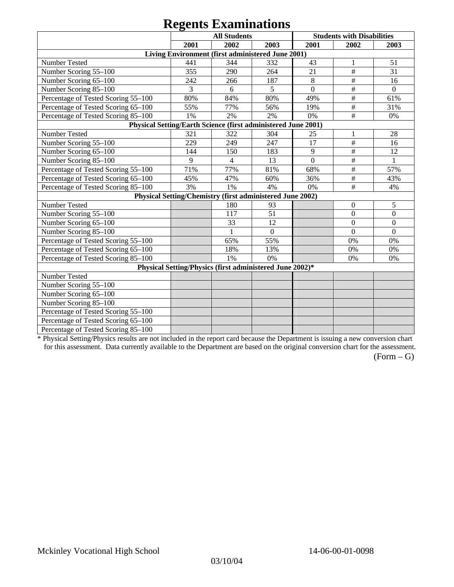# **Regents Examinations**

|                                                               |      | $\sim$<br><b>All Students</b>                             |                |                | <b>Students with Disabilities</b> |                  |
|---------------------------------------------------------------|------|-----------------------------------------------------------|----------------|----------------|-----------------------------------|------------------|
|                                                               | 2001 | 2002                                                      | 2003           | 2001           | 2002                              | 2003             |
|                                                               |      | Living Environment (first administered June 2001)         |                |                |                                   |                  |
| Number Tested                                                 | 441  | 344                                                       | 332            | 43             | $\mathbf{1}$                      | 51               |
| Number Scoring 55-100                                         | 355  | 290                                                       | 264            | 21             | $\#$                              | 31               |
| Number Scoring 65-100                                         | 242  | 266                                                       | 187            | 8              | $\#$                              | 16               |
| Number Scoring 85-100                                         | 3    | 6                                                         | 5              | $\overline{0}$ | $\#$                              | $\overline{0}$   |
| Percentage of Tested Scoring 55-100                           | 80%  | 84%                                                       | 80%            | 49%            | $\#$                              | 61%              |
| Percentage of Tested Scoring 65-100                           | 55%  | 77%                                                       | 56%            | 19%            | $\#$                              | 31%              |
| Percentage of Tested Scoring 85-100                           | 1%   | 2%                                                        | 2%             | 0%             | $\#$                              | 0%               |
| Physical Setting/Earth Science (first administered June 2001) |      |                                                           |                |                |                                   |                  |
| Number Tested                                                 | 321  | 322                                                       | 304            | 25             | 1                                 | 28               |
| Number Scoring 55-100                                         | 229  | 249                                                       | 247            | 17             | $\#$                              | 16               |
| Number Scoring 65-100                                         | 144  | 150                                                       | 183            | 9              | $\#$                              | 12               |
| Number Scoring 85-100                                         | 9    | $\overline{4}$                                            | 13             | $\overline{0}$ | $\#$                              | 1                |
| Percentage of Tested Scoring 55-100                           | 71%  | 77%                                                       | 81%            | 68%            | $\#$                              | 57%              |
| Percentage of Tested Scoring 65-100                           | 45%  | 47%                                                       | 60%            | 36%            | #                                 | 43%              |
| Percentage of Tested Scoring 85-100                           | 3%   | 1%                                                        | 4%             | 0%             | $\#$                              | 4%               |
|                                                               |      | Physical Setting/Chemistry (first administered June 2002) |                |                |                                   |                  |
| Number Tested                                                 |      | 180                                                       | 93             |                | $\mathbf{0}$                      | 5                |
| Number Scoring 55-100                                         |      | 117                                                       | 51             |                | $\boldsymbol{0}$                  | $\boldsymbol{0}$ |
| Number Scoring 65-100                                         |      | 33                                                        | 12             |                | $\boldsymbol{0}$                  | $\mathbf{0}$     |
| Number Scoring 85-100                                         |      |                                                           | $\overline{0}$ |                | $\Omega$                          | $\mathbf{0}$     |
| Percentage of Tested Scoring 55-100                           |      | 65%                                                       | 55%            |                | 0%                                | 0%               |
| Percentage of Tested Scoring 65-100                           |      | 18%                                                       | 13%            |                | 0%                                | 0%               |
| Percentage of Tested Scoring 85-100                           |      | 1%                                                        | 0%             |                | 0%                                | 0%               |
|                                                               |      | Physical Setting/Physics (first administered June 2002)*  |                |                |                                   |                  |
| Number Tested                                                 |      |                                                           |                |                |                                   |                  |
| Number Scoring 55-100                                         |      |                                                           |                |                |                                   |                  |
| Number Scoring 65-100                                         |      |                                                           |                |                |                                   |                  |
| Number Scoring 85-100                                         |      |                                                           |                |                |                                   |                  |
| Percentage of Tested Scoring 55-100                           |      |                                                           |                |                |                                   |                  |
| Percentage of Tested Scoring 65-100                           |      |                                                           |                |                |                                   |                  |
| Percentage of Tested Scoring 85-100                           |      |                                                           |                |                |                                   |                  |

\* Physical Setting/Physics results are not included in the report card because the Department is issuing a new conversion chart for this assessment. Data currently available to the Department are based on the original conversion chart for the assessment.

 $(Form - G)$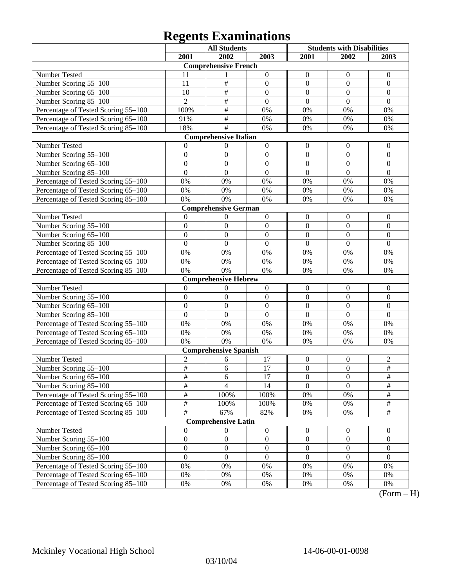# **Regents Examinations**

|                                     |                      | <b>All Students</b>          |                  | <b>Students with Disabilities</b> |                  |                  |
|-------------------------------------|----------------------|------------------------------|------------------|-----------------------------------|------------------|------------------|
|                                     | 2001                 | 2002                         | 2003             | 2001                              | 2002             | 2003             |
|                                     |                      | <b>Comprehensive French</b>  |                  |                                   |                  |                  |
| Number Tested                       | 11                   | 1                            | $\boldsymbol{0}$ | $\mathbf{0}$                      | $\mathbf{0}$     | $\mathbf{0}$     |
| Number Scoring 55-100               | 11                   | $\#$                         | $\boldsymbol{0}$ | $\boldsymbol{0}$                  | $\mathbf{0}$     | $\mathbf{0}$     |
| Number Scoring 65-100               | 10                   | $\overline{\#}$              | $\mathbf{0}$     | $\overline{0}$                    | $\mathbf{0}$     | $\mathbf{0}$     |
| Number Scoring 85-100               | $\overline{2}$       | $\overline{\#}$              | $\overline{0}$   | $\overline{0}$                    | $\overline{0}$   | $\mathbf{0}$     |
| Percentage of Tested Scoring 55-100 | 100%                 | $\overline{\#}$              | 0%               | 0%                                | 0%               | 0%               |
| Percentage of Tested Scoring 65-100 | 91%                  | $\overline{\#}$              | 0%               | 0%                                | 0%               | 0%               |
| Percentage of Tested Scoring 85-100 | 18%                  | $\overline{\#}$              | 0%               | 0%                                | 0%               | 0%               |
|                                     |                      | <b>Comprehensive Italian</b> |                  |                                   |                  |                  |
| Number Tested                       | 0                    | $\boldsymbol{0}$             | $\boldsymbol{0}$ | $\mathbf{0}$                      | $\mathbf{0}$     | $\mathbf{0}$     |
| Number Scoring 55-100               | $\overline{0}$       | $\mathbf{0}$                 | $\mathbf{0}$     | $\mathbf{0}$                      | $\Omega$         | $\Omega$         |
| Number Scoring 65-100               | $\overline{0}$       | $\boldsymbol{0}$             | $\boldsymbol{0}$ | $\boldsymbol{0}$                  | $\mathbf{0}$     | $\mathbf{0}$     |
| Number Scoring 85-100               | $\overline{0}$       | $\boldsymbol{0}$             | $\mathbf{0}$     | $\overline{0}$                    | $\mathbf{0}$     | $\mathbf{0}$     |
| Percentage of Tested Scoring 55-100 | 0%                   | 0%                           | 0%               | 0%                                | 0%               | 0%               |
| Percentage of Tested Scoring 65-100 | 0%                   | 0%                           | 0%               | 0%                                | 0%               | 0%               |
| Percentage of Tested Scoring 85-100 | 0%                   | 0%                           | 0%               | 0%                                | 0%               | 0%               |
|                                     |                      | <b>Comprehensive German</b>  |                  |                                   |                  |                  |
| Number Tested                       | $\theta$             | $\boldsymbol{0}$             | $\boldsymbol{0}$ | $\boldsymbol{0}$                  | $\boldsymbol{0}$ | $\mathbf{0}$     |
| Number Scoring 55-100               | $\overline{0}$       | $\boldsymbol{0}$             | $\mathbf{0}$     | $\mathbf{0}$                      | $\boldsymbol{0}$ | $\mathbf{0}$     |
| Number Scoring 65-100               | $\overline{0}$       | $\overline{0}$               | $\mathbf{0}$     | $\overline{0}$                    | $\overline{0}$   | $\mathbf{0}$     |
| Number Scoring 85-100               | $\overline{0}$       | $\overline{0}$               | $\overline{0}$   | $\overline{0}$                    | $\overline{0}$   | $\overline{0}$   |
| Percentage of Tested Scoring 55-100 | 0%                   | 0%                           | 0%               | 0%                                | 0%               | 0%               |
| Percentage of Tested Scoring 65-100 | 0%                   | 0%                           | 0%               | 0%                                | 0%               | 0%               |
| Percentage of Tested Scoring 85-100 | 0%                   | 0%                           | 0%               | 0%                                | 0%               | 0%               |
|                                     |                      | <b>Comprehensive Hebrew</b>  |                  |                                   |                  |                  |
| Number Tested                       | $\theta$             | $\boldsymbol{0}$             | $\boldsymbol{0}$ | $\boldsymbol{0}$                  | $\mathbf{0}$     | $\mathbf{0}$     |
| Number Scoring 55-100               | $\overline{0}$       | $\boldsymbol{0}$             | $\boldsymbol{0}$ | $\mathbf{0}$                      | $\mathbf{0}$     | $\mathbf{0}$     |
| Number Scoring 65-100               | $\overline{0}$       | $\boldsymbol{0}$             | $\mathbf{0}$     | $\boldsymbol{0}$                  | $\mathbf{0}$     | $\mathbf{0}$     |
| Number Scoring 85-100               | $\overline{0}$       | $\Omega$                     | $\mathbf{0}$     | $\overline{0}$                    | $\mathbf{0}$     | $\mathbf{0}$     |
| Percentage of Tested Scoring 55-100 | 0%                   | 0%                           | 0%               | 0%                                | 0%               | 0%               |
| Percentage of Tested Scoring 65-100 | 0%                   | 0%                           | 0%               | 0%                                | 0%               | 0%               |
| Percentage of Tested Scoring 85-100 | 0%                   | 0%                           | 0%               | 0%                                | 0%               | 0%               |
|                                     |                      | <b>Comprehensive Spanish</b> |                  |                                   |                  |                  |
| Number Tested                       | $\overline{c}$       | 6                            | 17               | $\boldsymbol{0}$                  | $\boldsymbol{0}$ | $\overline{c}$   |
| Number Scoring 55-100               | $\overline{\#}$      | 6                            | 17               | $\boldsymbol{0}$                  | $\boldsymbol{0}$ | $\#$             |
| Number Scoring 65–100               | #                    | 6                            | 17               | $\boldsymbol{0}$                  | $\boldsymbol{0}$ | $\#$             |
| Number Scoring 85-100               | $\overline{\ddot{}}$ | $\overline{4}$               | 14               | $\overline{0}$                    | $\overline{0}$   | $\overline{\#}$  |
| Percentage of Tested Scoring 55-100 | $\frac{1}{2}$        | 100%                         | 100%             | 0%                                | 0%               | $\frac{1}{2}$    |
| Percentage of Tested Scoring 65-100 | $\overline{\#}$      | 100%                         | 100%             | 0%                                | 0%               | $\frac{1}{2}$    |
| Percentage of Tested Scoring 85-100 | $\overline{\#}$      | 67%                          | 82%              | 0%                                | 0%               | $\overline{\#}$  |
|                                     |                      | <b>Comprehensive Latin</b>   |                  |                                   |                  |                  |
| Number Tested                       | $\boldsymbol{0}$     | $\boldsymbol{0}$             | $\boldsymbol{0}$ | $\boldsymbol{0}$                  | $\boldsymbol{0}$ | $\boldsymbol{0}$ |
| Number Scoring 55-100               | $\boldsymbol{0}$     | $\boldsymbol{0}$             | $\boldsymbol{0}$ | $\boldsymbol{0}$                  | $\boldsymbol{0}$ | $\boldsymbol{0}$ |
| Number Scoring 65-100               | $\boldsymbol{0}$     | $\boldsymbol{0}$             | $\boldsymbol{0}$ | $\boldsymbol{0}$                  | $\boldsymbol{0}$ | $\boldsymbol{0}$ |
| Number Scoring 85-100               | $\overline{0}$       | $\boldsymbol{0}$             | $\boldsymbol{0}$ | $\mathbf{0}$                      | $\boldsymbol{0}$ | $\mathbf{0}$     |
| Percentage of Tested Scoring 55-100 | 0%                   | 0%                           | 0%               | 0%                                | 0%               | 0%               |
| Percentage of Tested Scoring 65-100 | 0%                   | 0%                           | 0%               | 0%                                | 0%               | 0%               |
| Percentage of Tested Scoring 85-100 | 0%                   | 0%                           | 0%               | 0%                                | 0%               | 0%               |

 $\overline{(Form - H)}$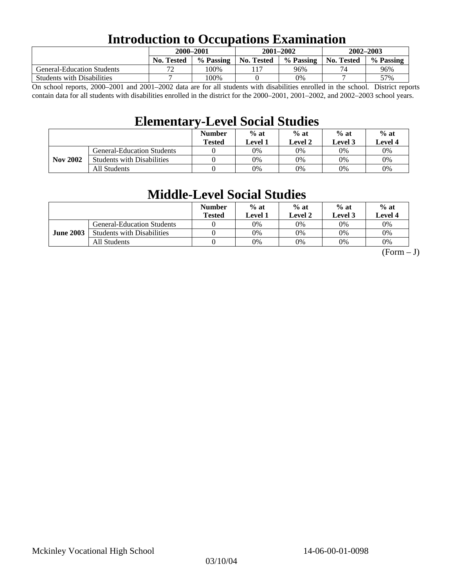## **Introduction to Occupations Examination**

|                                   | 2000-2001         |           | $2001 - 2002$ |           | $2002 - 2003$ |           |  |
|-----------------------------------|-------------------|-----------|---------------|-----------|---------------|-----------|--|
|                                   | <b>No. Tested</b> | % Passing | No. Tested    | % Passing | No. Tested    | % Passing |  |
| <b>General-Education Students</b> | רי                | 100%      |               | 96%       | 74            | 96%       |  |
| <b>Students with Disabilities</b> |                   | 100%      |               | 0%        |               | 57%       |  |

On school reports, 2000–2001 and 2001–2002 data are for all students with disabilities enrolled in the school. District reports contain data for all students with disabilities enrolled in the district for the 2000–2001, 2001–2002, and 2002–2003 school years.

## **Elementary-Level Social Studies**

|                 |                                   | <b>Number</b><br><b>Tested</b> | $%$ at<br>Level 1 | $%$ at<br>Level 2 | $%$ at<br>Level 3 | $%$ at<br><b>Level 4</b> |
|-----------------|-----------------------------------|--------------------------------|-------------------|-------------------|-------------------|--------------------------|
|                 | General-Education Students        |                                | 0%                | $0\%$             | 0%                | 0%                       |
| <b>Nov 2002</b> | <b>Students with Disabilities</b> |                                | 0%                | 0%                | 0%                | $0\%$                    |
|                 | All Students                      |                                | 0%                | $0\%$             | 0%                | $0\%$                    |

## **Middle-Level Social Studies**

|                  |                                   | <b>Number</b><br>Tested | $%$ at<br>evel 1. | $%$ at<br>Level 2 | $%$ at<br>Level 3 | $%$ at<br>Level 4 |
|------------------|-----------------------------------|-------------------------|-------------------|-------------------|-------------------|-------------------|
| <b>June 2003</b> | <b>General-Education Students</b> |                         | 0%                | 0%                | $0\%$             | 0%                |
|                  | <b>Students with Disabilities</b> |                         | 0%                | 0%                | 0%                | 0%                |
|                  | All Students                      |                         | 0%                | 0%                | 0%                | 0%                |

 $(Form - J)$